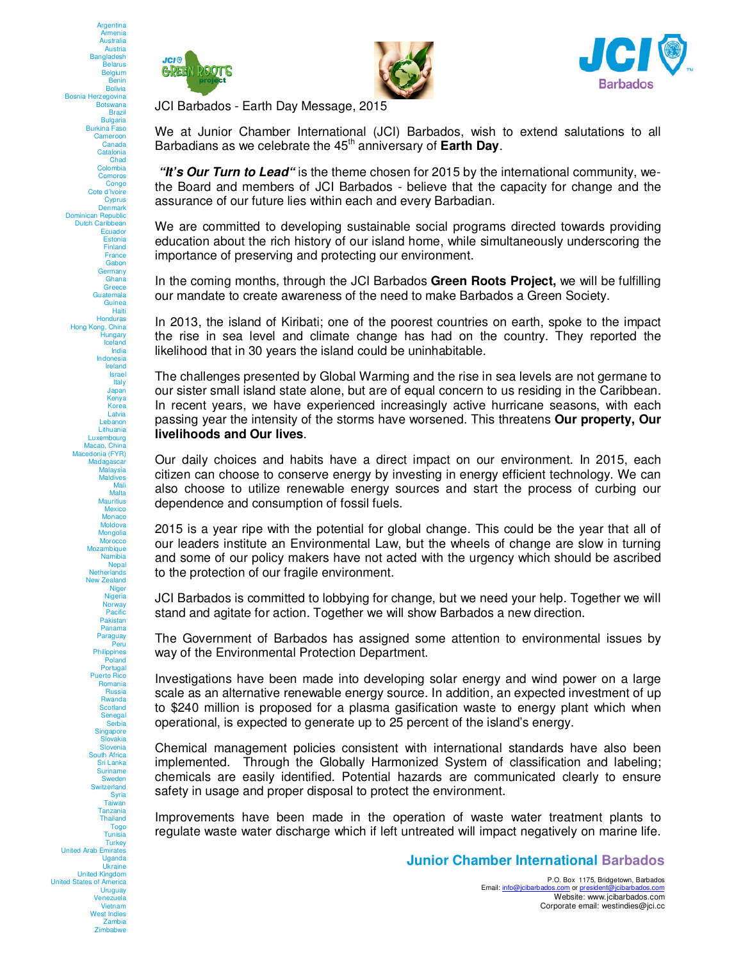





JCI Barbados - Earth Day Message, 2015

We at Junior Chamber International (JCI) Barbados, wish to extend salutations to all Barbadians as we celebrate the 45<sup>th</sup> anniversary of **Earth Day**.

**"It's Our Turn to Lead"** is the theme chosen for 2015 by the international community, wethe Board and members of JCI Barbados - believe that the capacity for change and the assurance of our future lies within each and every Barbadian.

We are committed to developing sustainable social programs directed towards providing education about the rich history of our island home, while simultaneously underscoring the importance of preserving and protecting our environment.

In the coming months, through the JCI Barbados **Green Roots Project,** we will be fulfilling our mandate to create awareness of the need to make Barbados a Green Society.

In 2013, the island of Kiribati; one of the poorest countries on earth, spoke to the impact the rise in sea level and climate change has had on the country. They reported the likelihood that in 30 years the island could be uninhabitable.

The challenges presented by Global Warming and the rise in sea levels are not germane to our sister small island state alone, but are of equal concern to us residing in the Caribbean. In recent years, we have experienced increasingly active hurricane seasons, with each passing year the intensity of the storms have worsened. This threatens **Our property, Our livelihoods and Our lives**.

Our daily choices and habits have a direct impact on our environment. In 2015, each citizen can choose to conserve energy by investing in energy efficient technology. We can also choose to utilize renewable energy sources and start the process of curbing our dependence and consumption of fossil fuels.

2015 is a year ripe with the potential for global change. This could be the year that all of our leaders institute an Environmental Law, but the wheels of change are slow in turning and some of our policy makers have not acted with the urgency which should be ascribed to the protection of our fragile environment.

JCI Barbados is committed to lobbying for change, but we need your help. Together we will stand and agitate for action. Together we will show Barbados a new direction.

The Government of Barbados has assigned some attention to environmental issues by way of the Environmental Protection Department.

Investigations have been made into developing solar energy and wind power on a large scale as an alternative renewable energy source. In addition, an expected investment of up to \$240 million is proposed for a plasma gasification waste to energy plant which when operational, is expected to generate up to 25 percent of the island's energy.

Chemical management policies consistent with international standards have also been implemented. Through the Globally Harmonized System of classification and labeling; chemicals are easily identified. Potential hazards are communicated clearly to ensure safety in usage and proper disposal to protect the environment.

Improvements have been made in the operation of waste water treatment plants to regulate waste water discharge which if left untreated will impact negatively on marine life.

**Junior Chamber International Barbados**